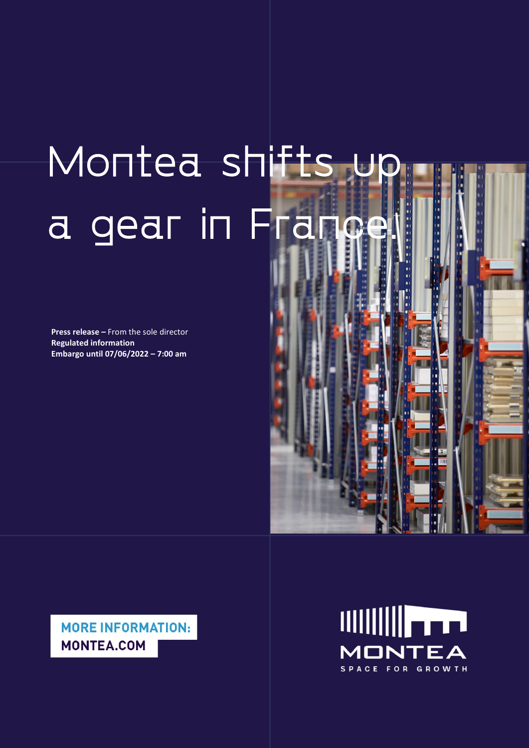# Montea shifts up a gear in France.

**Press release –** From the sole director **Regulated information Embargo until 07/06/2022 – 7:00 am** 



**MORE INFORMATION: MONTEA.COM** 

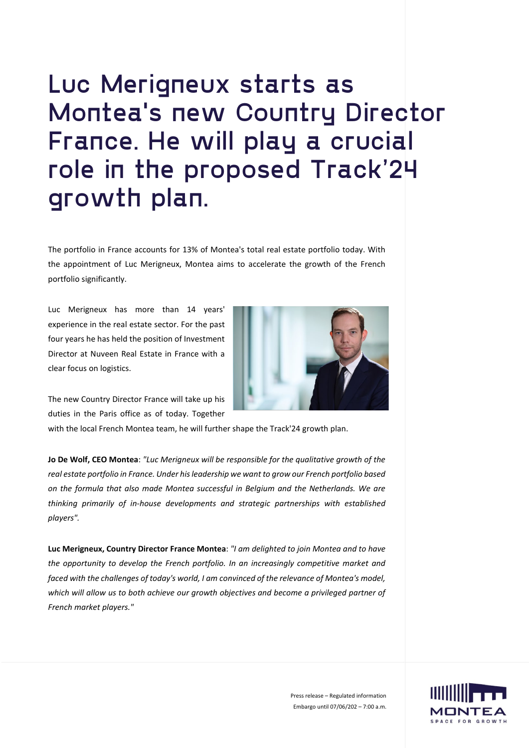### Luc Merigneux starts as Montea's new Country Director France. He will play a crucial role in the proposed Track'24 growth plan.

The portfolio in France accounts for 13% of Montea's total real estate portfolio today. With the appointment of Luc Merigneux, Montea aims to accelerate the growth of the French portfolio significantly.

Luc Merigneux has more than 14 years' experience in the real estate sector. For the past four years he has held the position of Investment Director at Nuveen Real Estate in France with a clear focus on logistics.



The new Country Director France will take up his duties in the Paris office as of today. Together

with the local French Montea team, he will further shape the Track'24 growth plan.

**Jo De Wolf, CEO Montea**: *"Luc Merigneux will be responsible for the qualitative growth of the real estate portfolio in France. Under his leadership we want to grow our French portfolio based on the formula that also made Montea successful in Belgium and the Netherlands. We are thinking primarily of in-house developments and strategic partnerships with established players".*

**Luc Merigneux, Country Director France Montea**: *"I am delighted to join Montea and to have the opportunity to develop the French portfolio. In an increasingly competitive market and faced with the challenges of today's world, I am convinced of the relevance of Montea's model, which will allow us to both achieve our growth objectives and become a privileged partner of French market players."*